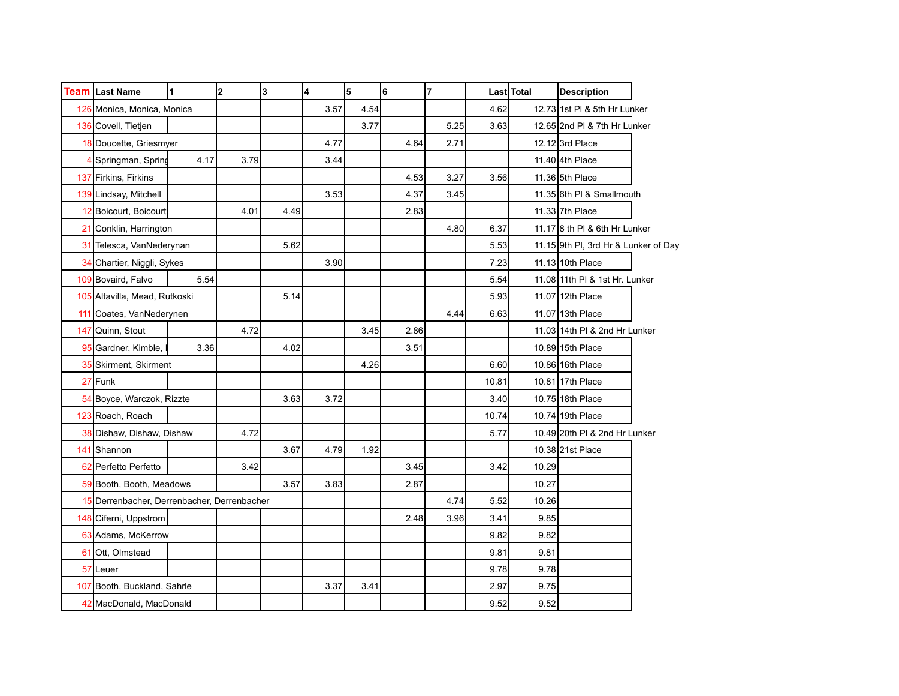| <b>Team Last Name</b>                       | $\mathbf{1}$ | $\overline{\mathbf{2}}$ | 3    | 4    | 5    | 6    | 7    |       | Last Total | <b>Description</b>                   |  |
|---------------------------------------------|--------------|-------------------------|------|------|------|------|------|-------|------------|--------------------------------------|--|
| 126 Monica, Monica, Monica                  |              |                         |      | 3.57 | 4.54 |      |      | 4.62  |            | 12.73 1st PI & 5th Hr Lunker         |  |
| 136 Covell, Tietjen                         |              |                         |      |      | 3.77 |      | 5.25 | 3.63  |            | 12.65 2nd PI & 7th Hr Lunker         |  |
| 18 Doucette, Griesmyer                      |              |                         |      | 4.77 |      | 4.64 | 2.71 |       |            | 12.12 3rd Place                      |  |
| Springman, Spring                           | 4.17         | 3.79                    |      | 3.44 |      |      |      |       |            | 11.40 4th Place                      |  |
| 137 Firkins, Firkins                        |              |                         |      |      |      | 4.53 | 3.27 | 3.56  |            | 11.36 5th Place                      |  |
| 139 Lindsay, Mitchell                       |              |                         |      | 3.53 |      | 4.37 | 3.45 |       |            | 11.35 6th PI & Smallmouth            |  |
| 12 Boicourt, Boicourt                       |              | 4.01                    | 4.49 |      |      | 2.83 |      |       |            | 11.33 7th Place                      |  |
| 21 Conklin, Harrington                      |              |                         |      |      |      |      | 4.80 | 6.37  |            | 11.17 8 th PI & 6th Hr Lunker        |  |
| 31 Telesca, VanNederynan                    |              |                         | 5.62 |      |      |      |      | 5.53  |            | 11.15 9th PI, 3rd Hr & Lunker of Day |  |
| 34 Chartier, Niggli, Sykes                  |              |                         |      | 3.90 |      |      |      | 7.23  |            | 11.13 10th Place                     |  |
| 109 Bovaird, Falvo                          | 5.54         |                         |      |      |      |      |      | 5.54  |            | 11.08 11th PI & 1st Hr. Lunker       |  |
| 105 Altavilla, Mead, Rutkoski               |              |                         | 5.14 |      |      |      |      | 5.93  |            | 11.07 12th Place                     |  |
| 111 Coates, VanNederynen                    |              |                         |      |      |      |      | 4.44 | 6.63  |            | 11.07 13th Place                     |  |
| 147 Quinn, Stout                            |              | 4.72                    |      |      | 3.45 | 2.86 |      |       |            | 11.03 14th PI & 2nd Hr Lunker        |  |
| 95 Gardner, Kimble,                         | 3.36         |                         | 4.02 |      |      | 3.51 |      |       |            | 10.89 15th Place                     |  |
| 35 Skirment, Skirment                       |              |                         |      |      | 4.26 |      |      | 6.60  |            | 10.86 16th Place                     |  |
| 27 Funk                                     |              |                         |      |      |      |      |      | 10.81 |            | 10.81 17th Place                     |  |
| 54 Boyce, Warczok, Rizzte                   |              |                         | 3.63 | 3.72 |      |      |      | 3.40  |            | 10.75 18th Place                     |  |
| 123 Roach, Roach                            |              |                         |      |      |      |      |      | 10.74 |            | 10.74 19th Place                     |  |
| 38 Dishaw, Dishaw, Dishaw                   |              | 4.72                    |      |      |      |      |      | 5.77  |            | 10.49 20th PI & 2nd Hr Lunker        |  |
| 141 Shannon                                 |              |                         | 3.67 | 4.79 | 1.92 |      |      |       |            | 10.38 21st Place                     |  |
| 62 Perfetto Perfetto                        |              | 3.42                    |      |      |      | 3.45 |      | 3.42  | 10.29      |                                      |  |
| 59 Booth, Booth, Meadows                    |              |                         | 3.57 | 3.83 |      | 2.87 |      |       | 10.27      |                                      |  |
| 15 Derrenbacher, Derrenbacher, Derrenbacher |              |                         |      |      |      |      | 4.74 | 5.52  | 10.26      |                                      |  |
| 148 Ciferni, Uppstrom                       |              |                         |      |      |      | 2.48 | 3.96 | 3.41  | 9.85       |                                      |  |
| 63 Adams, McKerrow                          |              |                         |      |      |      |      |      | 9.82  | 9.82       |                                      |  |
| 61 Ott, Olmstead                            |              |                         |      |      |      |      |      | 9.81  | 9.81       |                                      |  |
| 57Leuer                                     |              |                         |      |      |      |      |      | 9.78  | 9.78       |                                      |  |
| 107 Booth, Buckland, Sahrle                 |              |                         |      | 3.37 | 3.41 |      |      | 2.97  | 9.75       |                                      |  |
| 42 MacDonald, MacDonald                     |              |                         |      |      |      |      |      | 9.52  | 9.52       |                                      |  |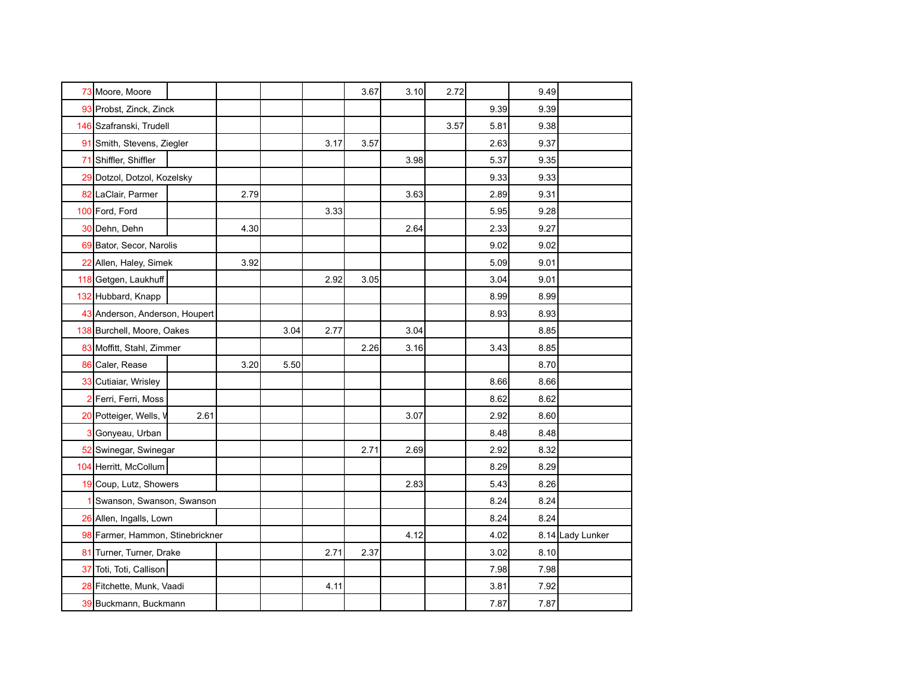| 73 Moore, Moore                  |      |      |      |      | 3.67 | 3.10 | 2.72 |      | 9.49             |  |
|----------------------------------|------|------|------|------|------|------|------|------|------------------|--|
| 93 Probst, Zinck, Zinck          |      |      |      |      |      |      |      | 9.39 | 9.39             |  |
| 146 Szafranski, Trudell          |      |      |      |      |      |      | 3.57 | 5.81 | 9.38             |  |
| 91 Smith, Stevens, Ziegler       |      |      |      | 3.17 | 3.57 |      |      | 2.63 | 9.37             |  |
| 71 Shiffler, Shiffler            |      |      |      |      |      | 3.98 |      | 5.37 | 9.35             |  |
| 29 Dotzol, Dotzol, Kozelsky      |      |      |      |      |      |      |      | 9.33 | 9.33             |  |
| 82 LaClair, Parmer               |      | 2.79 |      |      |      | 3.63 |      | 2.89 | 9.31             |  |
| 100 Ford, Ford                   |      |      |      | 3.33 |      |      |      | 5.95 | 9.28             |  |
| 30 Dehn, Dehn                    |      | 4.30 |      |      |      | 2.64 |      | 2.33 | 9.27             |  |
| 69 Bator, Secor, Narolis         |      |      |      |      |      |      |      | 9.02 | 9.02             |  |
| 22 Allen, Haley, Simek           |      | 3.92 |      |      |      |      |      | 5.09 | 9.01             |  |
| 118 Getgen, Laukhuff             |      |      |      | 2.92 | 3.05 |      |      | 3.04 | 9.01             |  |
| 132 Hubbard, Knapp               |      |      |      |      |      |      |      | 8.99 | 8.99             |  |
| 43 Anderson, Anderson, Houpert   |      |      |      |      |      |      |      | 8.93 | 8.93             |  |
| 138 Burchell, Moore, Oakes       |      |      | 3.04 | 2.77 |      | 3.04 |      |      | 8.85             |  |
| 83 Moffitt, Stahl, Zimmer        |      |      |      |      | 2.26 | 3.16 |      | 3.43 | 8.85             |  |
| 86 Caler, Rease                  |      | 3.20 | 5.50 |      |      |      |      |      | 8.70             |  |
| 33 Cutiaiar, Wrisley             |      |      |      |      |      |      |      | 8.66 | 8.66             |  |
| 2 Ferri, Ferri, Moss             |      |      |      |      |      |      |      | 8.62 | 8.62             |  |
| 20 Potteiger, Wells, V           | 2.61 |      |      |      |      | 3.07 |      | 2.92 | 8.60             |  |
| 3 Gonyeau, Urban                 |      |      |      |      |      |      |      | 8.48 | 8.48             |  |
| 52 Swinegar, Swinegar            |      |      |      |      | 2.71 | 2.69 |      | 2.92 | 8.32             |  |
| 104 Herritt, McCollum            |      |      |      |      |      |      |      | 8.29 | 8.29             |  |
| 19 Coup, Lutz, Showers           |      |      |      |      |      | 2.83 |      | 5.43 | 8.26             |  |
| Swanson, Swanson, Swanson        |      |      |      |      |      |      |      | 8.24 | 8.24             |  |
| 26 Allen, Ingalls, Lown          |      |      |      |      |      |      |      | 8.24 | 8.24             |  |
| 98 Farmer, Hammon, Stinebrickner |      |      |      |      | 4.12 |      | 4.02 |      | 8.14 Lady Lunker |  |
| 81 Turner, Turner, Drake         |      |      |      | 2.71 | 2.37 |      |      | 3.02 | 8.10             |  |
| 37 Toti, Toti, Callison          |      |      |      |      |      |      |      | 7.98 | 7.98             |  |
| 28 Fitchette, Munk, Vaadi        |      |      |      | 4.11 |      |      |      | 3.81 | 7.92             |  |
| 39 Buckmann, Buckmann            |      |      |      |      |      |      |      | 7.87 | 7.87             |  |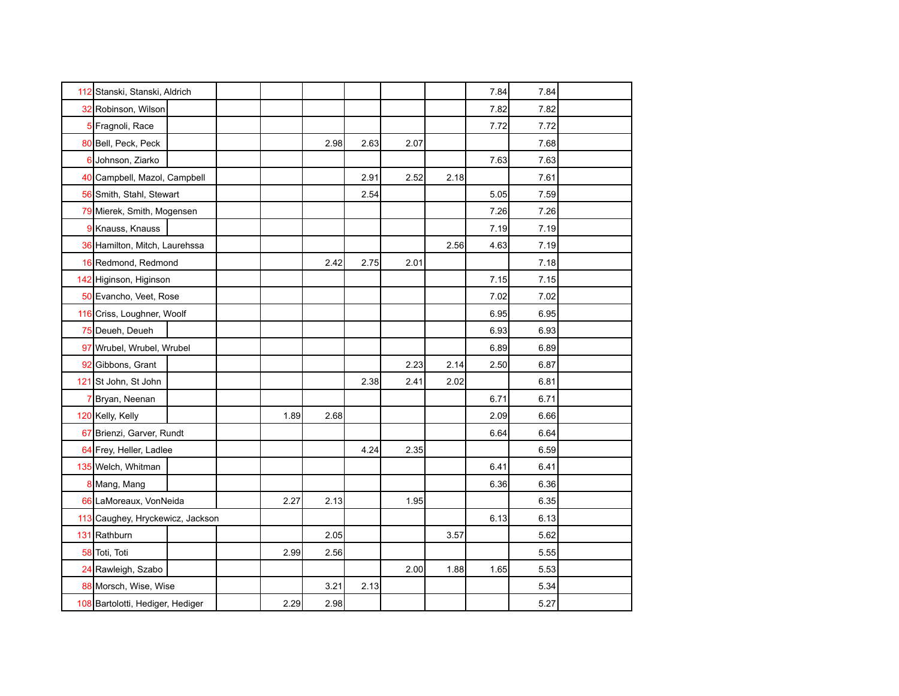|    | 112 Stanski, Stanski, Aldrich    |  |      |      |      |      |      | 7.84 | 7.84 |  |
|----|----------------------------------|--|------|------|------|------|------|------|------|--|
|    | 32 Robinson, Wilson              |  |      |      |      |      |      | 7.82 | 7.82 |  |
|    | 5 Fragnoli, Race                 |  |      |      |      |      |      | 7.72 | 7.72 |  |
|    | 80 Bell, Peck, Peck              |  |      | 2.98 | 2.63 | 2.07 |      |      | 7.68 |  |
| 6  | Johnson, Ziarko                  |  |      |      |      |      |      | 7.63 | 7.63 |  |
|    | 40 Campbell, Mazol, Campbell     |  |      |      | 2.91 | 2.52 | 2.18 |      | 7.61 |  |
|    | 56 Smith, Stahl, Stewart         |  |      |      | 2.54 |      |      | 5.05 | 7.59 |  |
|    | 79 Mierek, Smith, Mogensen       |  |      |      |      |      |      | 7.26 | 7.26 |  |
|    | 9 Knauss, Knauss                 |  |      |      |      |      |      | 7.19 | 7.19 |  |
|    | 36 Hamilton, Mitch, Laurehssa    |  |      |      |      |      | 2.56 | 4.63 | 7.19 |  |
|    | 16 Redmond, Redmond              |  |      | 2.42 | 2.75 | 2.01 |      |      | 7.18 |  |
|    | 142 Higinson, Higinson           |  |      |      |      |      |      | 7.15 | 7.15 |  |
|    | 50 Evancho, Veet, Rose           |  |      |      |      |      |      | 7.02 | 7.02 |  |
|    | 116 Criss, Loughner, Woolf       |  |      |      |      |      |      | 6.95 | 6.95 |  |
|    | 75 Deueh, Deueh                  |  |      |      |      |      |      | 6.93 | 6.93 |  |
|    | 97 Wrubel, Wrubel, Wrubel        |  |      |      |      |      |      | 6.89 | 6.89 |  |
| 92 | Gibbons, Grant                   |  |      |      |      | 2.23 | 2.14 | 2.50 | 6.87 |  |
|    | 121 St John, St John             |  |      |      | 2.38 | 2.41 | 2.02 |      | 6.81 |  |
|    | 7 Bryan, Neenan                  |  |      |      |      |      |      | 6.71 | 6.71 |  |
|    | 120 Kelly, Kelly                 |  | 1.89 | 2.68 |      |      |      | 2.09 | 6.66 |  |
|    | 67 Brienzi, Garver, Rundt        |  |      |      |      |      |      | 6.64 | 6.64 |  |
|    | 64 Frey, Heller, Ladlee          |  |      |      | 4.24 | 2.35 |      |      | 6.59 |  |
|    | 135 Welch, Whitman               |  |      |      |      |      |      | 6.41 | 6.41 |  |
|    | 8 Mang, Mang                     |  |      |      |      |      |      | 6.36 | 6.36 |  |
|    | 66 LaMoreaux, VonNeida           |  | 2.27 | 2.13 |      | 1.95 |      |      | 6.35 |  |
|    | 113 Caughey, Hryckewicz, Jackson |  |      |      |      |      |      | 6.13 | 6.13 |  |
|    | 131 Rathburn                     |  |      | 2.05 |      |      | 3.57 |      | 5.62 |  |
|    | 58 Toti, Toti                    |  | 2.99 | 2.56 |      |      |      |      | 5.55 |  |
|    | 24 Rawleigh, Szabo               |  |      |      |      | 2.00 | 1.88 | 1.65 | 5.53 |  |
|    | 88 Morsch, Wise, Wise            |  |      | 3.21 | 2.13 |      |      |      | 5.34 |  |
|    | 108 Bartolotti, Hediger, Hediger |  | 2.29 | 2.98 |      |      |      |      | 5.27 |  |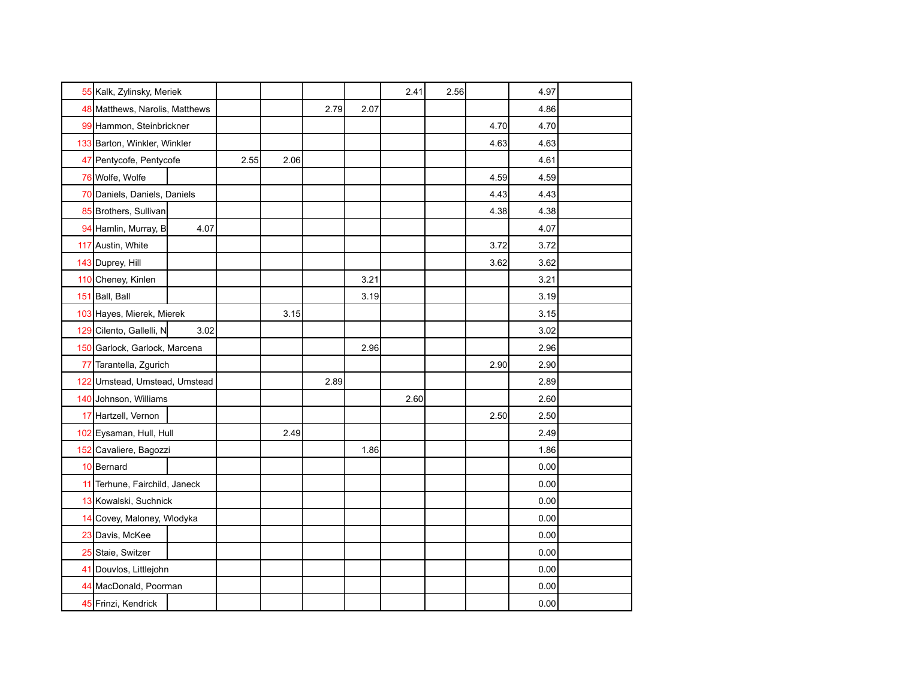|     | 55 Kalk, Zylinsky, Meriek      |      |      |      |      |      | 2.41 | 2.56 |      | 4.97 |  |
|-----|--------------------------------|------|------|------|------|------|------|------|------|------|--|
|     | 48 Matthews, Narolis, Matthews |      |      |      | 2.79 | 2.07 |      |      |      | 4.86 |  |
|     | 99 Hammon, Steinbrickner       |      |      |      |      |      |      |      | 4.70 | 4.70 |  |
|     | 133 Barton, Winkler, Winkler   |      |      |      |      |      |      |      | 4.63 | 4.63 |  |
|     | 47 Pentycofe, Pentycofe        |      | 2.55 | 2.06 |      |      |      |      |      | 4.61 |  |
|     | 76 Wolfe, Wolfe                |      |      |      |      |      |      |      | 4.59 | 4.59 |  |
|     | 70 Daniels, Daniels, Daniels   |      |      |      |      |      |      |      | 4.43 | 4.43 |  |
|     | 85 Brothers, Sullivan          |      |      |      |      |      |      |      | 4.38 | 4.38 |  |
|     | 94 Hamlin, Murray, B           | 4.07 |      |      |      |      |      |      |      | 4.07 |  |
|     | 117 Austin, White              |      |      |      |      |      |      |      | 3.72 | 3.72 |  |
|     | 143 Duprey, Hill               |      |      |      |      |      |      |      | 3.62 | 3.62 |  |
|     | 110 Cheney, Kinlen             |      |      |      |      | 3.21 |      |      |      | 3.21 |  |
|     | 151 Ball, Ball                 |      |      |      |      | 3.19 |      |      |      | 3.19 |  |
|     |                                |      |      |      |      |      |      |      |      |      |  |
|     | 103 Hayes, Mierek, Mierek      |      |      | 3.15 |      |      |      |      |      | 3.15 |  |
|     | 129 Cilento, Gallelli, N       | 3.02 |      |      |      |      |      |      |      | 3.02 |  |
|     | 150 Garlock, Garlock, Marcena  |      |      |      |      | 2.96 |      |      |      | 2.96 |  |
|     | 77 Tarantella, Zgurich         |      |      |      |      |      |      |      | 2.90 | 2.90 |  |
| 122 | Umstead, Umstead, Umstead      |      |      |      | 2.89 |      |      |      |      | 2.89 |  |
|     | 140 Johnson, Williams          |      |      |      |      |      | 2.60 |      |      | 2.60 |  |
|     | 17 Hartzell, Vernon            |      |      |      |      |      |      |      | 2.50 | 2.50 |  |
|     | 102 Eysaman, Hull, Hull        |      |      | 2.49 |      |      |      |      |      | 2.49 |  |
|     | 152 Cavaliere, Bagozzi         |      |      |      |      | 1.86 |      |      |      | 1.86 |  |
|     | 10 Bernard                     |      |      |      |      |      |      |      |      | 0.00 |  |
|     | 11 Terhune, Fairchild, Janeck  |      |      |      |      |      |      |      |      | 0.00 |  |
|     | 13 Kowalski, Suchnick          |      |      |      |      |      |      |      |      | 0.00 |  |
|     | 14 Covey, Maloney, Wlodyka     |      |      |      |      |      |      |      |      | 0.00 |  |
|     | 23 Davis, McKee                |      |      |      |      |      |      |      |      | 0.00 |  |
|     | 25 Staie, Switzer              |      |      |      |      |      |      |      |      | 0.00 |  |
|     | 41 Douvlos, Littlejohn         |      |      |      |      |      |      |      |      | 0.00 |  |
|     | 44 MacDonald, Poorman          |      |      |      |      |      |      |      |      | 0.00 |  |
|     | 45 Frinzi, Kendrick            |      |      |      |      |      |      |      |      | 0.00 |  |